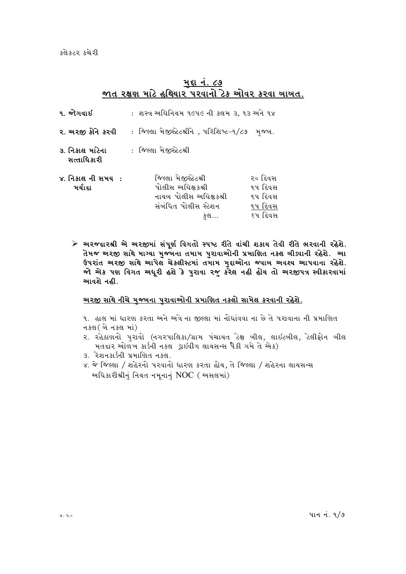કલેકટર કચેરી

### <u>મ</u>દ્દા નં. ૮૭ જાત રક્ષણ માટે હથિયાર પરવાનો ટેક ઓવર કરવા ખાખત.

| ૧. જોગવાઈ                      | :  શસ્ત્ર અઘિનિયમ ૧૯૫૯ ની કલમ ૩, ૧૩ અને ૧૪                                                          |                                                     |  |
|--------------------------------|-----------------------------------------------------------------------------------------------------|-----------------------------------------------------|--|
| ર. અરજી કોને કરવી              | ∶ જિલ્લા મેજીસ્ટેટશ્રીને , પરિશિષ્ટ−૧/૮૭ મુજબ.                                                      |                                                     |  |
| ૩. નિકાલ માંેના<br>સત્તાધિકારી | : જિલ્લા મેજીસ્ટેટશ્રી                                                                              |                                                     |  |
| ૪. નિકાલ ની સમય :<br>મર્યાદા   | જિલ્લા મેજીસ્ટેટશ્રી<br>પોલીસ અઘિક્ષકશ્રી<br>નાયબ પોલીસ અઘિક્ષકશ્રી<br>સંબંધિત પોલીસ સ્ટેશન<br>કુલ… | ૨૦ દિવસ<br>૧૫ દિવસ<br>૧૫ દિવસ<br>૧૫ દિવસ<br>૬૫ દિવસ |  |

≻ અરજદારશ્રી એ અરજીમાં સંપૂર્ણ વિગતો સ્પષ્ટ રીતે વાંચી શકાય તેવી રીતે ભરવાની રહેશે. તેમજ અરજી સાથે માગ્યા મુજ્બના તમામ પુરાવાઓની પ્રમાણિત નકલ બીડવાની રહેશે. આ ઉપરાંત અરજી સાથે આપેલ ચેકલીસ્ટમાં તમામ મુદ્દાઓના જવાબ અવશ્ય આપવાના રહેશે. જો એક પણ વિગત અધૂરી હશે કે પુરાવા રજુ કરેલ નહી હોય તો અરજીપત્ર સ્વીકારવામાં આવશે નહી.

#### <u>અરજી સાથે નીચે મજ્યના પરાવાઓની પ્રમાણિત નકલો સામેલ કરવાની રહેશે.</u>

૧. હાલ માં ધારણ કરતા અને અત્રે ના જીલ્લા માં નોધાંવવા ના છે તે પરાવાના ની પ્રમાણિત નક્લ ( બે નકલ માં)

- ૨. રહેઠાણનો પુરાવો (નગરપાલિકા/ગ્રામ પંચાયત ટેક્ષ બીલ, લાઇટબીલ, ટેલીફોન બીલ મતદાર ઓળખ કાર્ડની નકલ ડ્રાઇવીંગ લાયસન્સ પૈકી ગમે તે એક)
- 3. રેશનકાર્ડની પ્રમાણિત નકલ.
- ૪. જે જિલ્લા / શહેરનો પરવાનો ધારણ કરતા હોય, તે જિલ્લા / શહેરના લાયસન્સ અધિકારીશ્રીનું નિયત નમૂનાનું  $NOC$  ( અસલમાં)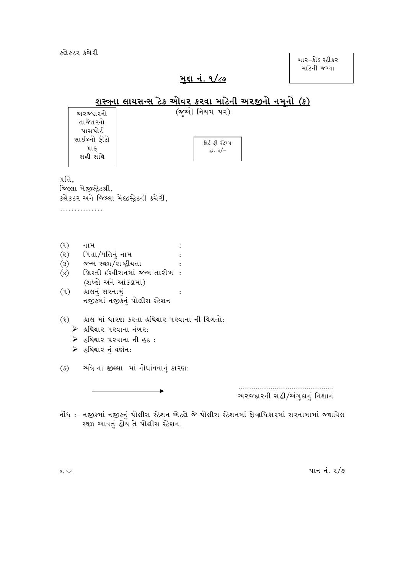કલેકટર કચેરી

બાર−કોઽ સ્ટીકર માટેની જગ્યા

# <u>મુદ્દા નં. ૧/૮૭</u>

#### <u>શસ્ત્રના લાયસન્સ ટેક ઓવર કરવા માટેની અરજીનો નમૂનો (ક)</u>  $($ જુઓ નિયમ પર) અ૨જદા૨નો તાજેતરનો પાસપોર્ટ સાઈઝનો ફોટો કોર્ટ ફી સ્ટેમ્પ ગ્રાફ રૂા. ૩/– સહી સાથે પ્રતિ. જિલ્લા મેજીસ્ટ્રેટશ્રી, કલેકટર અને જિલ્લા મેજીસ્ટ્રેટની કચેરી, . . . . . . . . . . . . . . .  $(9)$ નામ  $\ddot{\cdot}$ પિતા/પતિનું નામ  $(5)$  $\div$ જન્મ સ્થળ/રાષ્ટ્રીયતા  $\mathcal{E}(\mathcal{E})$  $\cdot$ ખ્રિસ્તી ઇસ્વીસનમાં જન્મ તારીખ:  $(x)$ (શબ્દો અને આંકડામાં)  $(4)$  હાલનું સરનામું  $\ddot{\cdot}$ નજીકમાં નજીકનું પોલીસ સ્ટેશન (९) હાલ માં ધારણ કરતા હથિયાર પરવાના ની વિગતો: ▶ હથિયાર પરવાના નંબર: ▶ હથિયાર પરવાના ની હદ:  $\triangleright$  હથિયાર નં વર્ણન:  $(\mathcal{C})$ અંગે ના જીલ્લા માં નોધાંવવાનું કારણ: અરજદારની સહી/અંગુઠાનું નિશાન નોંધ :– નજીકમાં નજીકનં પોલીસ સ્ટેશન એટલે જે પોલીસ સ્ટેશનમાં ક્ષેત્રાધિકારમાં સરનામામાં જણાવેલ

પાન નં. 2/9

પ્ર. ૫.૦

સ્થળ આવતં હોય તે પોલીસ સ્ટેશન.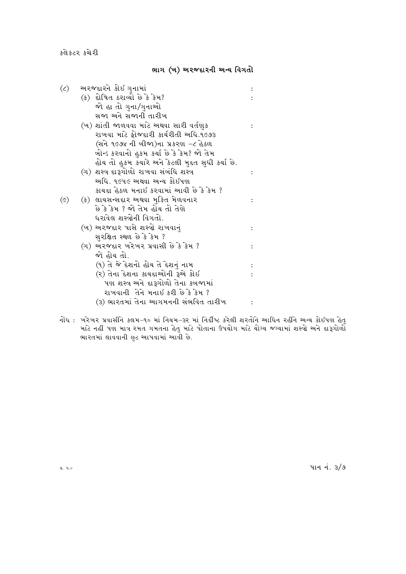કલેકટર કચેરી

#### ભાગ (ખ) અરજદારની અન્ય વિગતો

| $(\zeta)$       | અરજદારને કોઈ ગુનામાં                            |  |
|-----------------|-------------------------------------------------|--|
|                 | (ક) દોષિત ઠરાવ્યો છે કે કેમ?                    |  |
|                 | જો હા તો ગુના/ગુનાઓ                             |  |
|                 | સજા અને સજાની તારીખ                             |  |
|                 | (ખ) શાંતી જાળવવા માટે અથવા સારી વર્તણુક         |  |
|                 | રાખવા માટે ફોજદ્દારી કાર્યરીતી અધિ.૧૯૭૩         |  |
|                 | (સને ૧૯૭૪ ની બીજા)ના પ્રકરણ −૮ હેઠળ             |  |
|                 | ખોન્ડ કરવાનો હુકમ કર્યા છે કે કેમ? જો તેમ       |  |
|                 | હોય તો હુકમ કચારે અને કેટલી મુદત સુધી કર્યા છે. |  |
|                 | (ગ) શસ્ત્ર દારૂગોળો રાખવા સંબંધિ શસ્ત્ર         |  |
|                 | અધિ. ૧૯૫૯ અથવા અન્ય કોઇપણ                       |  |
|                 | કાચદા હેઠળ મનાઇ કરવામાં આવી છે કે કેમ ?         |  |
| $(\varepsilon)$ | (ક) લાયસન્સદાર અથવા મુક્તિ મેળવનાર              |  |
|                 | છે કે કેમ ? જો તેમ હોય તો તેણે                  |  |
|                 | ધરાવેલ શસ્ત્રોની વિગતો.                         |  |
|                 | (ખ) અરજદાર પાસે શસ્ત્રો રાખવાનું                |  |
|                 | સુરક્ષિત સ્થળ છે કે કેમ ?                       |  |
|                 | (ગ) અરજદાર ખરેખર પ્રવાસી છે કે કેમ ?            |  |
|                 | જો હોય તો.                                      |  |
|                 | (૧) તે જે દેશનો હોય તે દેશનું નામ               |  |
|                 | (૨) તેના દેશના કાયદાઓની રૂએ કોઇ                 |  |
|                 | પણ શસ્ત્ર અને દારૂગોળો તેના કબજામાં             |  |
|                 | રાખવાની તેને મનાઇ કરી છે કે કેમ ?               |  |
|                 | (૩) ભારતમાં તેના આગમનની સંભવિત તારીખ            |  |
|                 |                                                 |  |

નોંધ : ખરેખર પ્રવાસીને કલમ–૧૦ માં નિયમ–૩ર માં નિર્દીષ્ટ કરેલી શરતોને આધિન રહીને અન્ય કોઇપણ હેતુ<br>માટે નહી પણ માત્ર રમત ગમતના હેતુ માટે પોતાના ઉપયોગ માટે યોગ્ય જગ્યામાં શસ્ત્રો અને દારૂગોળો<br>ભારતમાં લાવવાની છુટ આપવામાં આવી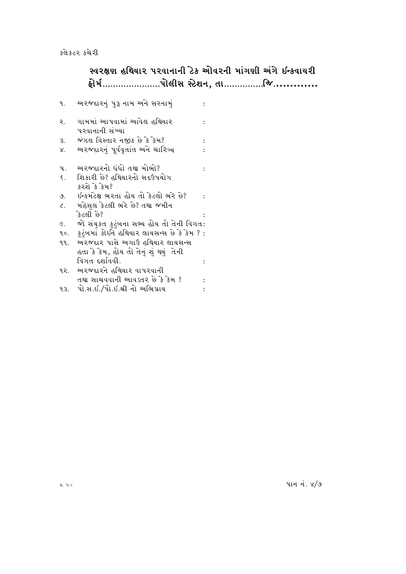# સ્વરક્ષણ હથિયાર પરવાનાની ટેક ઓવરની માંગણી અંગે ઈન્કવાયરી

| ٩.                    | અરજદારનું પુરૂ નામ અને સરનામું                |  |
|-----------------------|-----------------------------------------------|--|
| ર.                    | ગામમાં આપવામાં આવેલ હથિયાર<br>પરવાનાની સંખ્યા |  |
| З.                    | જંગલ વિસ્તાર નજીક છે કે કેમ?                  |  |
| Χ.                    | અરજદારનું પૂર્વવૃતાંત અને ચારિત્ર્ય           |  |
| પ.                    | અરજદારનો ધંધો તથા મોભો?                       |  |
| ξ.                    | શિકારી છે? હથિયારનો સદઉપયોગ<br>કરશે કે કેમ?   |  |
| 9.                    | ઇન્કમટેક્ષ ભરતા હોય તો કેટલો ભરે છે?          |  |
| $\mathcal{L}_{\star}$ | મહેસલ કેટલી ભરે છે? તથા જમીન                  |  |
|                       | કેટલી છે?                                     |  |
| E.                    | જો સંયુકત ફુટુંબના સભ્ય હોય તો તેની વિગત:     |  |
| ٩٥.                   | કુટુંબમાં કોઈને હથિયાર લાયસન્સ છે કે કેમ ? :  |  |
| ۹۹.                   | અરજદાર પાસે અગાઉ હથિયાર લાયસન્સ               |  |
|                       | હતા કે કેમ, હોય તો તેનું શું થયું તેની        |  |
|                       | વિગત દર્શાવવી.                                |  |
| ૧૨.                   | અરજદારને હથિયાર વાપરવાની                      |  |
|                       | તથા સાચવવાની આવડતર છે કે કેમ ?                |  |
| ٩З.                   | પો.સ.ઇ./પો.ઇ.શ્રી નો અભિપ્રાય                 |  |